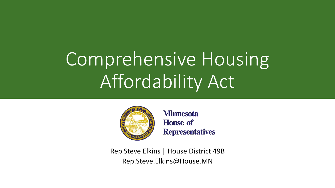# Comprehensive Housing Affordability Act



**Minnesota House of Representatives** 

Rep Steve Elkins | House District 49B Rep.Steve.Elkins@House.MN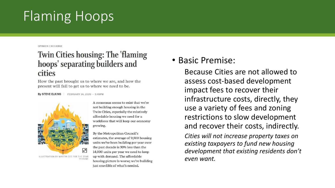# Flaming Hoops

OPINION EXCHANGE

#### **Twin Cities housing: The 'flaming** hoops' separating builders and cities

How the past brought us to where we are, and how the present will fail to get us to where we need to be.

By STEVE ELKINS FEBRUARY 14, 2020 - 5:45PM



ILLUSTRATION BY MARTIN GEE FOR THE STAR TRIBUNE

A consensus seems to exist that we're not building enough housing in the Twin Cities, especially the relatively affordable housing we need for a workforce that will keep our economy growing.

By the Metropolitan Council's estimates, the average of 9,500 housing units we've been building per year over the past decade is 30% less than the 14,000 units per year we need to keep up with demand. The affordable housing picture is worse; we're building just one-fifth of what's needed.

#### • Basic Premise:

Because Cities are not allowed to assess cost-based development impact fees to recover their infrastructure costs, directly, they use a variety of fees and zoning restrictions to slow development and recover their costs, indirectly.

*Cities will not increase property taxes on existing taxpayers to fund new housing development that existing residents don't even want.*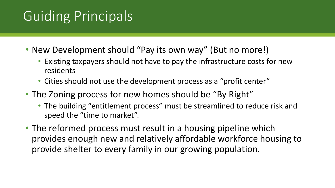## Guiding Principals

- New Development should "Pay its own way" (But no more!)
	- Existing taxpayers should not have to pay the infrastructure costs for new residents
	- Cities should not use the development process as a "profit center"
- The Zoning process for new homes should be "By Right"
	- The building "entitlement process" must be streamlined to reduce risk and speed the "time to market".
- The reformed process must result in a housing pipeline which provides enough new and relatively affordable workforce housing to provide shelter to every family in our growing population.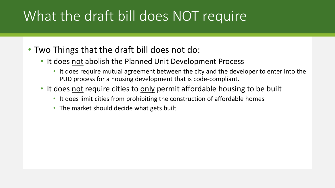### What the draft bill does NOT require

- Two Things that the draft bill does not do:
	- It does not abolish the Planned Unit Development Process
		- It does require mutual agreement between the city and the developer to enter into the PUD process for a housing development that is code-compliant.
	- It does not require cities to only permit affordable housing to be built
		- It does limit cities from prohibiting the construction of affordable homes
		- The market should decide what gets built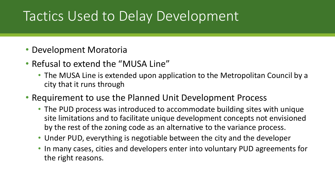#### Tactics Used to Delay Development

- Development Moratoria
- Refusal to extend the "MUSA Line"
	- The MUSA Line is extended upon application to the Metropolitan Council by a city that it runs through
- Requirement to use the Planned Unit Development Process
	- The PUD process was introduced to accommodate building sites with unique site limitations and to facilitate unique development concepts not envisioned by the rest of the zoning code as an alternative to the variance process.
	- Under PUD, everything is negotiable between the city and the developer
	- In many cases, cities and developers enter into voluntary PUD agreements for the right reasons.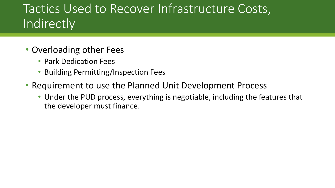#### Tactics Used to Recover Infrastructure Costs, **Indirectly**

- Overloading other Fees
	- Park Dedication Fees
	- Building Permitting/Inspection Fees
- Requirement to use the Planned Unit Development Process
	- Under the PUD process, everything is negotiable, including the features that the developer must finance.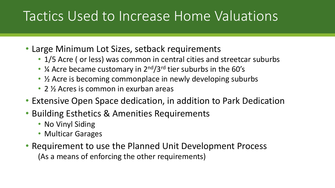### Tactics Used to Increase Home Valuations

- Large Minimum Lot Sizes, setback requirements
	- 1/5 Acre ( or less) was common in central cities and streetcar suburbs
	- ¼ Acre became customary in 2<sup>nd</sup>/3<sup>rd</sup> tier suburbs in the 60's
	- $\frac{1}{2}$  Acre is becoming commonplace in newly developing suburbs
	- 2  $\frac{1}{2}$  Acres is common in exurban areas
- Extensive Open Space dedication, in addition to Park Dedication
- Building Esthetics & Amenities Requirements
	- No Vinyl Siding
	- Multicar Garages
- Requirement to use the Planned Unit Development Process (As a means of enforcing the other requirements)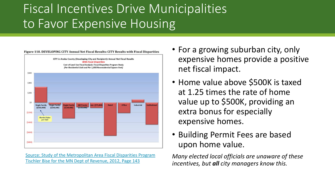#### Fiscal Incentives Drive Municipalities to Favor Expensive Housing



[Source: Study of the Metropolitan Area Fiscal Disparities Program](https://www.revenue.state.mn.us/sites/default/files/2018-11/fiscal-disparities-study-full-report.pdf) [Tischler Bise for the MN Dept of Revenue, 2012, Page 143](https://www.revenue.state.mn.us/sites/default/files/2018-11/fiscal-disparities-study-full-report.pdf)

- For a growing suburban city, only expensive homes provide a positive net fiscal impact.
- Home value above \$500K is taxed at 1.25 times the rate of home value up to \$500K, providing an extra bonus for especially expensive homes.
- Building Permit Fees are based upon home value.

*Many elected local officials are unaware of these incentives, but all city managers know this.*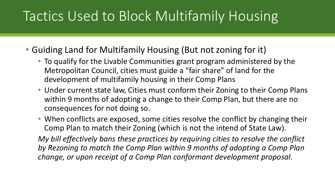### Tactics Used to Block Multifamily Housing

- Guiding Land for Multifamily Housing (But not zoning for it)
	- To qualify for the Livable Communities grant program administered by the Metropolitan Council, cities must guide a "fair share" of land for the development of multifamily housing in their Comp Plans
	- Under current state law, Cities must conform their Zoning to their Comp Plans within 9 months of adopting a change to their Comp Plan, but there are no consequences for not doing so.
	- When conflicts are exposed, some cities resolve the conflict by changing their Comp Plan to match their Zoning (which is not the intend of State Law).

*My bill effectively bans these practices by requiring cities to resolve the conflict by Rezoning to match the Comp Plan within 9 months of adopting a Comp Plan change, or upon receipt of a Comp Plan conformant development proposal.*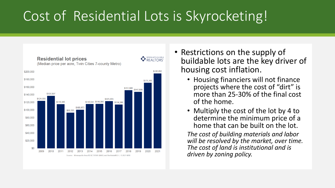## Cost of Residential Lots is Skyrocketing!



- Restrictions on the supply of buildable lots are the key driver of housing cost inflation.
	- Housing financiers will not finance projects where the cost of "dirt" is more than 25-30% of the final cost of the home.
	- Multiply the cost of the lot by 4 to determine the minimum price of a home that can be built on the lot.

*The cost of building materials and labor will be resolved by the market, over time. The cost of land is institutional and is driven by zoning policy.*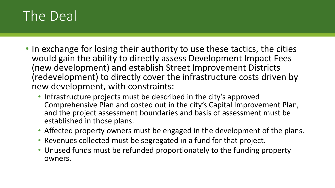#### The Deal

- In exchange for losing their authority to use these tactics, the cities would gain the ability to directly assess Development Impact Fees (new development) and establish Street Improvement Districts (redevelopment) to directly cover the infrastructure costs driven by new development, with constraints:
	- Infrastructure projects must be described in the city's approved Comprehensive Plan and costed out in the city's Capital Improvement Plan, and the project assessment boundaries and basis of assessment must be established in those plans.
	- Affected property owners must be engaged in the development of the plans.
	- Revenues collected must be segregated in a fund for that project.
	- Unused funds must be refunded proportionately to the funding property owners.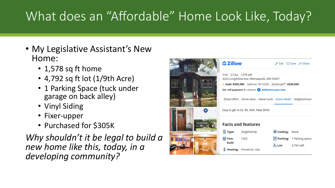#### What does an "Affordable" Home Look Like, Today?

- My Legislative Assistant's New Home:
	- 1,578 sq ft home
	- 4,792 sq ft lot (1/9th Acre)
	- 1 Parking Space (tuck under garage on back alley)
	- Vinyl Siding
	- Fixer-upper
	- Purchased for \$305K

*Why shouldn't it be legal to build a new home like this, today, in a developing community?*

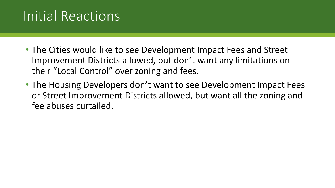### Initial Reactions

- The Cities would like to see Development Impact Fees and Street Improvement Districts allowed, but don't want any limitations on their "Local Control" over zoning and fees.
- The Housing Developers don't want to see Development Impact Fees or Street Improvement Districts allowed, but want all the zoning and fee abuses curtailed.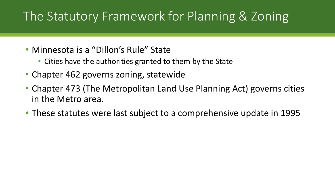#### The Statutory Framework for Planning & Zoning

- Minnesota is a "Dillon's Rule" State
	- Cities have the authorities granted to them by the State
- Chapter 462 governs zoning, statewide
- Chapter 473 (The Metropolitan Land Use Planning Act) governs cities in the Metro area.
- These statutes were last subject to a comprehensive update in 1995